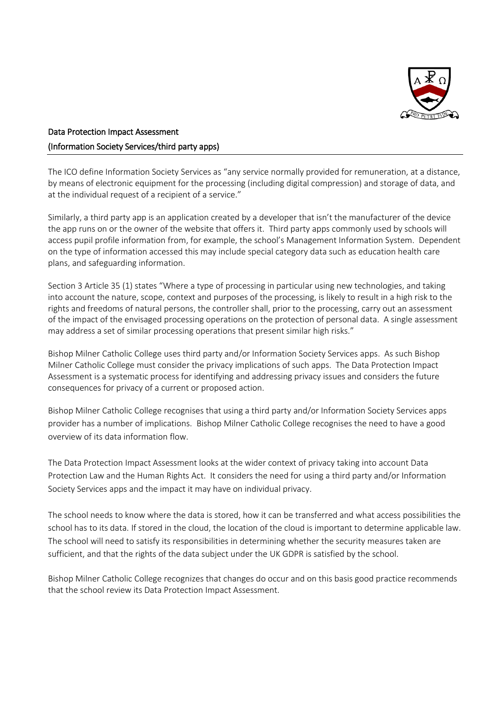

# Data Protection Impact Assessment (Information Society Services/third party apps)

The ICO define Information Society Services as "any service normally provided for remuneration, at a distance, by means of electronic equipment for the processing (including digital compression) and storage of data, and at the individual request of a recipient of a service."

Similarly, a third party app is an application created by a developer that isn't the manufacturer of the device the app runs on or the owner of the website that offers it. Third party apps commonly used by schools will access pupil profile information from, for example, the school's Management Information System. Dependent on the type of information accessed this may include special category data such as education health care plans, and safeguarding information.

Section 3 Article 35 (1) states "Where a type of processing in particular using new technologies, and taking into account the nature, scope, context and purposes of the processing, is likely to result in a high risk to the rights and freedoms of natural persons, the controller shall, prior to the processing, carry out an assessment of the impact of the envisaged processing operations on the protection of personal data. A single assessment may address a set of similar processing operations that present similar high risks."

Bishop Milner Catholic College uses third party and/or Information Society Services apps. As such Bishop Milner Catholic College must consider the privacy implications of such apps. The Data Protection Impact Assessment is a systematic process for identifying and addressing privacy issues and considers the future consequences for privacy of a current or proposed action.

Bishop Milner Catholic College recognises that using a third party and/or Information Society Services apps provider has a number of implications. Bishop Milner Catholic College recognises the need to have a good overview of its data information flow.

The Data Protection Impact Assessment looks at the wider context of privacy taking into account Data Protection Law and the Human Rights Act. It considers the need for using a third party and/or Information Society Services apps and the impact it may have on individual privacy.

The school needs to know where the data is stored, how it can be transferred and what access possibilities the school has to its data. If stored in the cloud, the location of the cloud is important to determine applicable law. The school will need to satisfy its responsibilities in determining whether the security measures taken are sufficient, and that the rights of the data subject under the UK GDPR is satisfied by the school.

Bishop Milner Catholic College recognizes that changes do occur and on this basis good practice recommends that the school review its Data Protection Impact Assessment.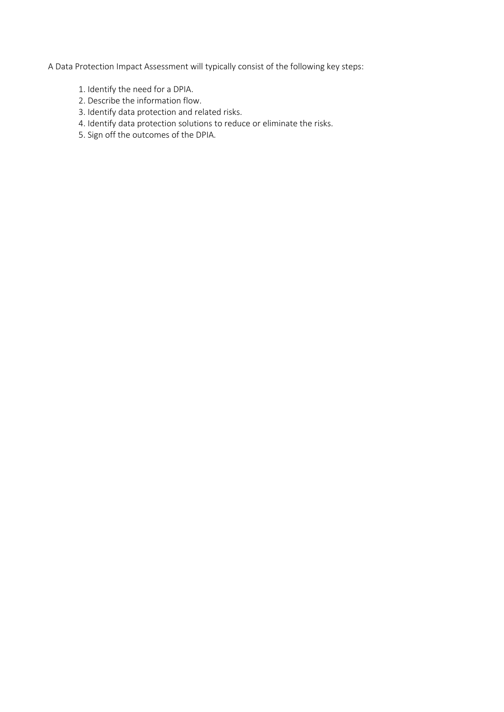A Data Protection Impact Assessment will typically consist of the following key steps:

- 1. Identify the need for a DPIA.
- 2. Describe the information flow.
- 3. Identify data protection and related risks.
- 4. Identify data protection solutions to reduce or eliminate the risks.
- 5. Sign off the outcomes of the DPIA.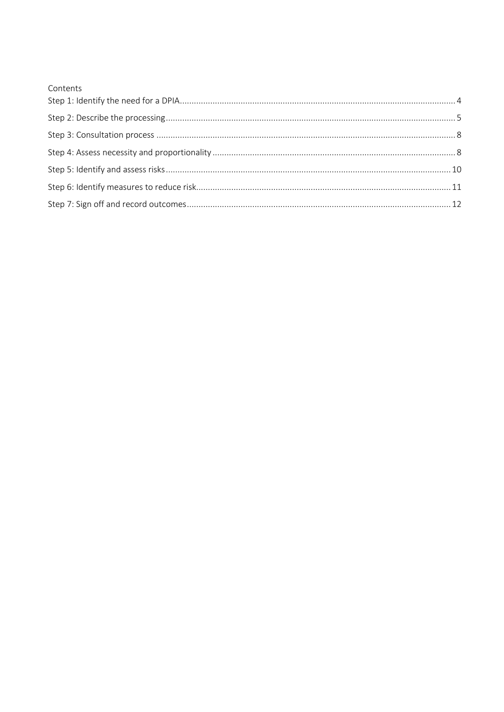| Contents |  |
|----------|--|
|          |  |
|          |  |
|          |  |
|          |  |
|          |  |
|          |  |
|          |  |
|          |  |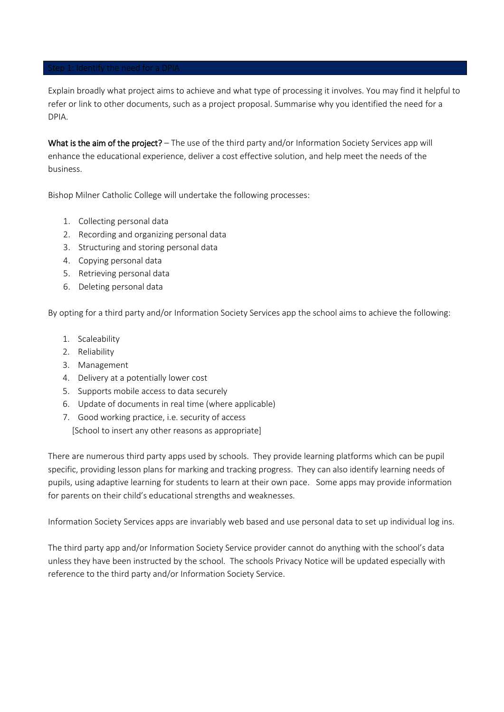<span id="page-3-0"></span>Explain broadly what project aims to achieve and what type of processing it involves. You may find it helpful to refer or link to other documents, such as a project proposal. Summarise why you identified the need for a DPIA.

What is the aim of the project? – The use of the third party and/or Information Society Services app will enhance the educational experience, deliver a cost effective solution, and help meet the needs of the business.

Bishop Milner Catholic College will undertake the following processes:

- 1. Collecting personal data
- 2. Recording and organizing personal data
- 3. Structuring and storing personal data
- 4. Copying personal data
- 5. Retrieving personal data
- 6. Deleting personal data

By opting for a third party and/or Information Society Services app the school aims to achieve the following:

- 1. Scaleability
- 2. Reliability
- 3. Management
- 4. Delivery at a potentially lower cost
- 5. Supports mobile access to data securely
- 6. Update of documents in real time (where applicable)
- 7. Good working practice, i.e. security of access [School to insert any other reasons as appropriate]

There are numerous third party apps used by schools. They provide learning platforms which can be pupil specific, providing lesson plans for marking and tracking progress. They can also identify learning needs of pupils, using adaptive learning for students to learn at their own pace. Some apps may provide information for parents on their child's educational strengths and weaknesses.

Information Society Services apps are invariably web based and use personal data to set up individual log ins.

The third party app and/or Information Society Service provider cannot do anything with the school's data unless they have been instructed by the school. The schools Privacy Notice will be updated especially with reference to the third party and/or Information Society Service.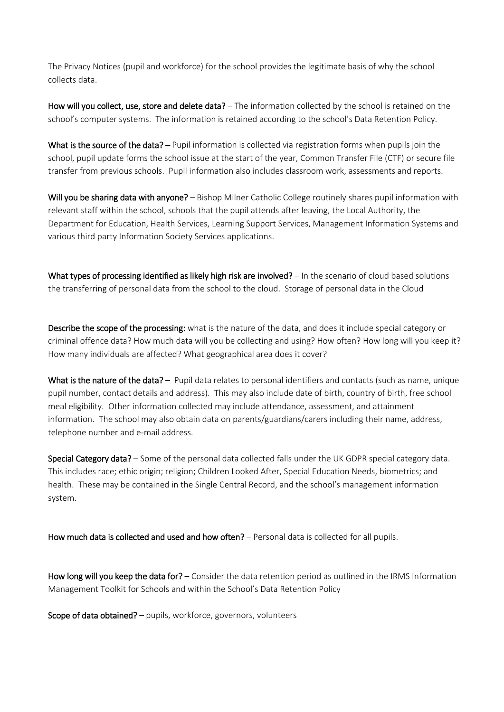The Privacy Notices (pupil and workforce) for the school provides the legitimate basis of why the school collects data.

How will you collect, use, store and delete data? - The information collected by the school is retained on the school's computer systems. The information is retained according to the school's Data Retention Policy.

What is the source of the data? – Pupil information is collected via registration forms when pupils join the school, pupil update forms the school issue at the start of the year, Common Transfer File (CTF) or secure file transfer from previous schools. Pupil information also includes classroom work, assessments and reports.

Will you be sharing data with anyone? – Bishop Milner Catholic College routinely shares pupil information with relevant staff within the school, schools that the pupil attends after leaving, the Local Authority, the Department for Education, Health Services, Learning Support Services, Management Information Systems and various third party Information Society Services applications.

What types of processing identified as likely high risk are involved?  $-$  In the scenario of cloud based solutions the transferring of personal data from the school to the cloud. Storage of personal data in the Cloud

Describe the scope of the processing: what is the nature of the data, and does it include special category or criminal offence data? How much data will you be collecting and using? How often? How long will you keep it? How many individuals are affected? What geographical area does it cover?

What is the nature of the data? – Pupil data relates to personal identifiers and contacts (such as name, unique pupil number, contact details and address). This may also include date of birth, country of birth, free school meal eligibility. Other information collected may include attendance, assessment, and attainment information. The school may also obtain data on parents/guardians/carers including their name, address, telephone number and e-mail address.

Special Category data? – Some of the personal data collected falls under the UK GDPR special category data. This includes race; ethic origin; religion; Children Looked After, Special Education Needs, biometrics; and health. These may be contained in the Single Central Record, and the school's management information system.

How much data is collected and used and how often? – Personal data is collected for all pupils.

How long will you keep the data for? – Consider the data retention period as outlined in the IRMS Information Management Toolkit for Schools and within the School's Data Retention Policy

Scope of data obtained? - pupils, workforce, governors, volunteers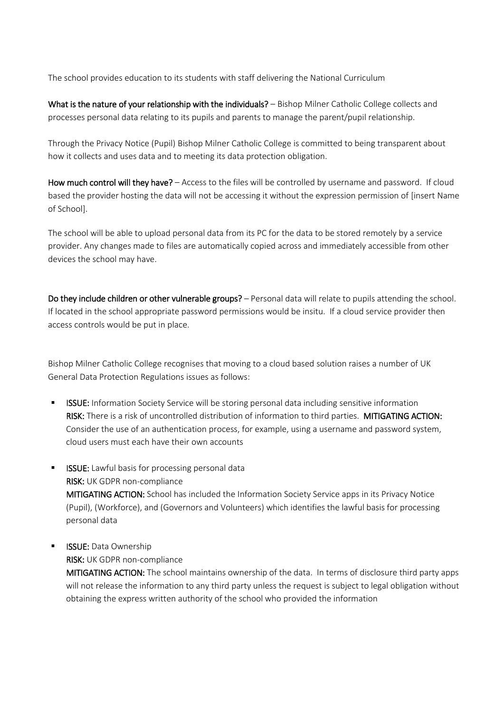The school provides education to its students with staff delivering the National Curriculum

What is the nature of your relationship with the individuals? – Bishop Milner Catholic College collects and processes personal data relating to its pupils and parents to manage the parent/pupil relationship.

Through the Privacy Notice (Pupil) Bishop Milner Catholic College is committed to being transparent about how it collects and uses data and to meeting its data protection obligation.

How much control will they have? – Access to the files will be controlled by username and password. If cloud based the provider hosting the data will not be accessing it without the expression permission of [insert Name of School].

The school will be able to upload personal data from its PC for the data to be stored remotely by a service provider. Any changes made to files are automatically copied across and immediately accessible from other devices the school may have.

Do they include children or other vulnerable groups? – Personal data will relate to pupils attending the school. If located in the school appropriate password permissions would be insitu. If a cloud service provider then access controls would be put in place.

Bishop Milner Catholic College recognises that moving to a cloud based solution raises a number of UK General Data Protection Regulations issues as follows:

- **ISSUE:** Information Society Service will be storing personal data including sensitive information RISK: There is a risk of uncontrolled distribution of information to third parties. MITIGATING ACTION: Consider the use of an authentication process, for example, using a username and password system, cloud users must each have their own accounts
- **ISSUE:** Lawful basis for processing personal data RISK: UK GDPR non-compliance MITIGATING ACTION: School has included the Information Society Service apps in its Privacy Notice (Pupil), (Workforce), and (Governors and Volunteers) which identifies the lawful basis for processing personal data

## **ISSUE: Data Ownership**

RISK: UK GDPR non-compliance

MITIGATING ACTION: The school maintains ownership of the data. In terms of disclosure third party apps will not release the information to any third party unless the request is subject to legal obligation without obtaining the express written authority of the school who provided the information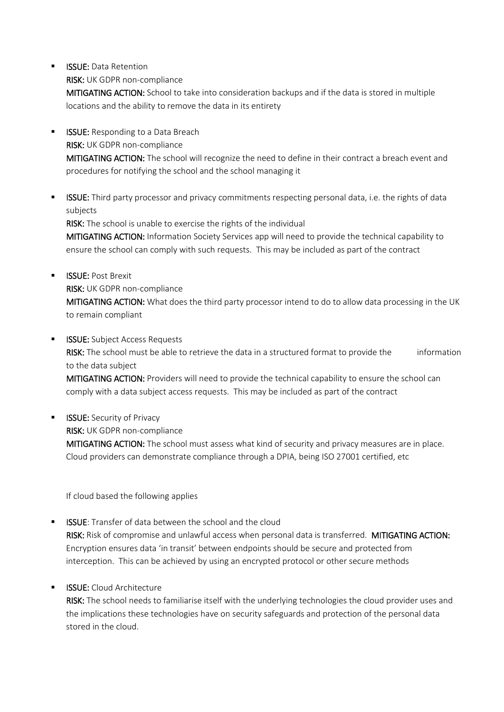**ISSUE: Data Retention** 

RISK: UK GDPR non-compliance

MITIGATING ACTION: School to take into consideration backups and if the data is stored in multiple locations and the ability to remove the data in its entirety

- **ISSUE:** Responding to a Data Breach RISK: UK GDPR non-compliance MITIGATING ACTION: The school will recognize the need to define in their contract a breach event and procedures for notifying the school and the school managing it
- **■** ISSUE: Third party processor and privacy commitments respecting personal data, i.e. the rights of data subjects

RISK: The school is unable to exercise the rights of the individual

MITIGATING ACTION: Information Society Services app will need to provide the technical capability to ensure the school can comply with such requests. This may be included as part of the contract

- **E** ISSUE: Post Brexit RISK: UK GDPR non-compliance MITIGATING ACTION: What does the third party processor intend to do to allow data processing in the UK to remain compliant
- **ISSUE:** Subject Access Requests RISK: The school must be able to retrieve the data in a structured format to provide the information to the data subject

MITIGATING ACTION: Providers will need to provide the technical capability to ensure the school can comply with a data subject access requests. This may be included as part of the contract

**ISSUE:** Security of Privacy

RISK: UK GDPR non-compliance

MITIGATING ACTION: The school must assess what kind of security and privacy measures are in place. Cloud providers can demonstrate compliance through a DPIA, being ISO 27001 certified, etc

If cloud based the following applies

- ISSUE: Transfer of data between the school and the cloud RISK: Risk of compromise and unlawful access when personal data is transferred. MITIGATING ACTION: Encryption ensures data 'in transit' between endpoints should be secure and protected from interception. This can be achieved by using an encrypted protocol or other secure methods
- **ISSUE:** Cloud Architecture

RISK: The school needs to familiarise itself with the underlying technologies the cloud provider uses and the implications these technologies have on security safeguards and protection of the personal data stored in the cloud.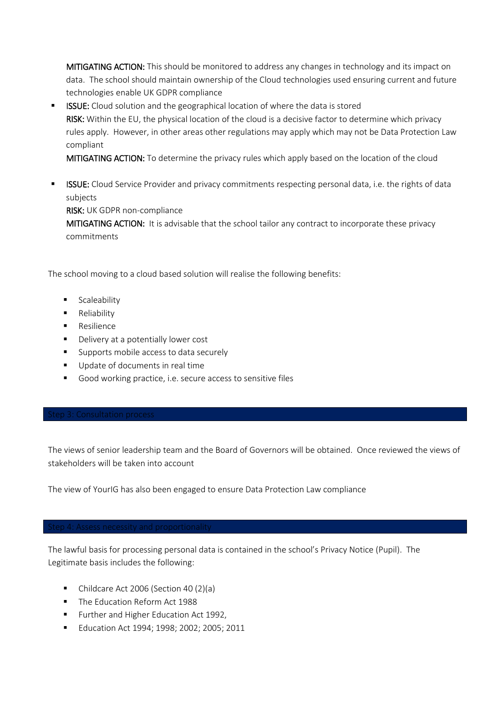MITIGATING ACTION: This should be monitored to address any changes in technology and its impact on data. The school should maintain ownership of the Cloud technologies used ensuring current and future technologies enable UK GDPR compliance

**EXECT:** Cloud solution and the geographical location of where the data is stored RISK: Within the EU, the physical location of the cloud is a decisive factor to determine which privacy rules apply. However, in other areas other regulations may apply which may not be Data Protection Law compliant

MITIGATING ACTION: To determine the privacy rules which apply based on the location of the cloud

**EXECT:** Cloud Service Provider and privacy commitments respecting personal data, i.e. the rights of data subjects

RISK: UK GDPR non-compliance

MITIGATING ACTION: It is advisable that the school tailor any contract to incorporate these privacy commitments

The school moving to a cloud based solution will realise the following benefits:

- **■** Scaleability
- Reliability
- Resilience
- Delivery at a potentially lower cost
- Supports mobile access to data securely
- Update of documents in real time
- <span id="page-7-0"></span>■ Good working practice, i.e. secure access to sensitive files

The views of senior leadership team and the Board of Governors will be obtained. Once reviewed the views of stakeholders will be taken into account

<span id="page-7-1"></span>The view of YourIG has also been engaged to ensure Data Protection Law compliance

The lawful basis for processing personal data is contained in the school's Privacy Notice (Pupil). The Legitimate basis includes the following:

- Childcare Act 2006 (Section 40 (2)(a)
- The Education Reform Act 1988
- Further and Higher Education Act 1992,
- Education Act 1994; 1998; 2002; 2005; 2011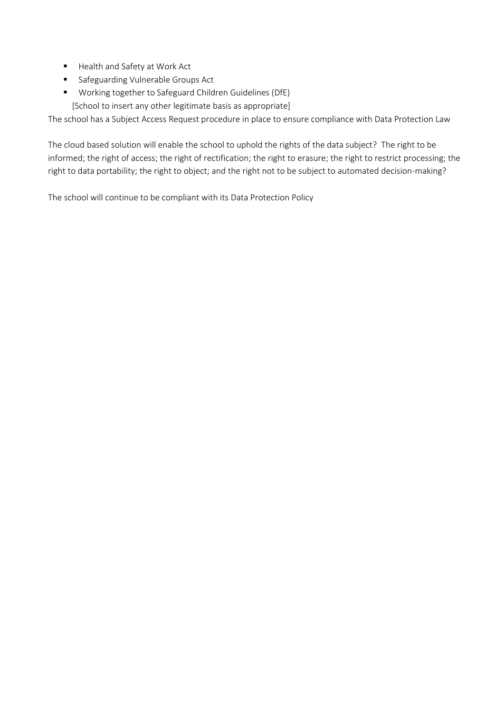- Health and Safety at Work Act
- Safeguarding Vulnerable Groups Act
- Working together to Safeguard Children Guidelines (DfE) [School to insert any other legitimate basis as appropriate]

The school has a Subject Access Request procedure in place to ensure compliance with Data Protection Law

The cloud based solution will enable the school to uphold the rights of the data subject? The right to be informed; the right of access; the right of rectification; the right to erasure; the right to restrict processing; the right to data portability; the right to object; and the right not to be subject to automated decision-making?

The school will continue to be compliant with its Data Protection Policy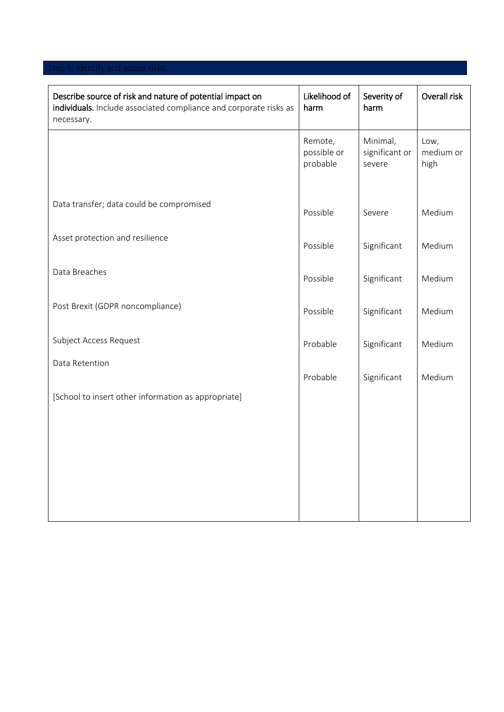<span id="page-9-0"></span>

| Describe source of risk and nature of potential impact on<br>individuals. Include associated compliance and corporate risks as<br>necessary. | Likelihood of<br>harm              | Severity of<br>harm                  | Overall risk              |
|----------------------------------------------------------------------------------------------------------------------------------------------|------------------------------------|--------------------------------------|---------------------------|
|                                                                                                                                              | Remote,<br>possible or<br>probable | Minimal,<br>significant or<br>severe | Low,<br>medium or<br>high |
| Data transfer; data could be compromised                                                                                                     | Possible                           | Severe                               | Medium                    |
| Asset protection and resilience                                                                                                              | Possible                           | Significant                          | Medium                    |
| Data Breaches                                                                                                                                | Possible                           | Significant                          | Medium                    |
| Post Brexit (GDPR noncompliance)                                                                                                             | Possible                           | Significant                          | Medium                    |
| Subject Access Request                                                                                                                       | Probable                           | Significant                          | Medium                    |
| Data Retention                                                                                                                               | Probable                           | Significant                          | Medium                    |
| [School to insert other information as appropriate]                                                                                          |                                    |                                      |                           |
|                                                                                                                                              |                                    |                                      |                           |
|                                                                                                                                              |                                    |                                      |                           |
|                                                                                                                                              |                                    |                                      |                           |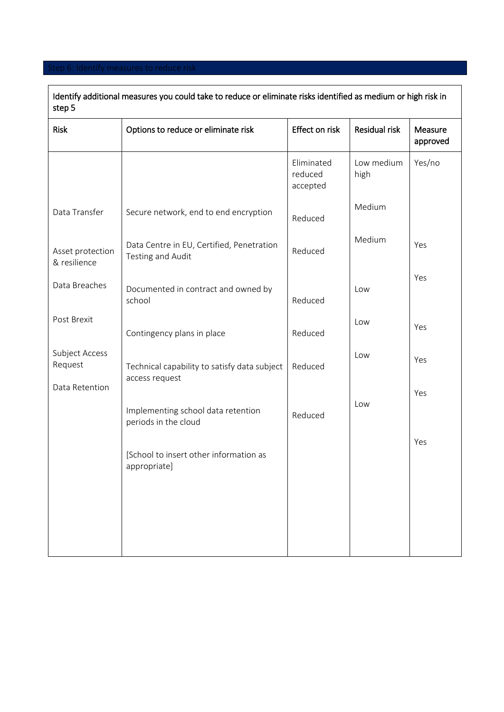### <span id="page-10-0"></span>Itep 6: Identify measures to reduce risk

| Identify additional measures you could take to reduce or eliminate risks identified as medium or high risk in<br>step 5 |                                                                |                                   |                    |                     |  |
|-------------------------------------------------------------------------------------------------------------------------|----------------------------------------------------------------|-----------------------------------|--------------------|---------------------|--|
| Risk                                                                                                                    | Options to reduce or eliminate risk                            | Effect on risk                    | Residual risk      | Measure<br>approved |  |
|                                                                                                                         |                                                                | Eliminated<br>reduced<br>accepted | Low medium<br>high | Yes/no              |  |
| Data Transfer                                                                                                           | Secure network, end to end encryption                          | Reduced                           | Medium             |                     |  |
| Asset protection<br>& resilience                                                                                        | Data Centre in EU, Certified, Penetration<br>Testing and Audit | Reduced                           | Medium             | Yes                 |  |
| Data Breaches                                                                                                           | Documented in contract and owned by<br>school                  | Reduced                           | Low                | Yes                 |  |
| Post Brexit                                                                                                             | Contingency plans in place                                     | Reduced                           | Low                | Yes                 |  |
| Subject Access<br>Request                                                                                               | Technical capability to satisfy data subject<br>access request | Reduced                           | Low                | Yes                 |  |
| Data Retention                                                                                                          | Implementing school data retention<br>periods in the cloud     | Reduced                           | Low                | Yes                 |  |
|                                                                                                                         | [School to insert other information as<br>appropriate]         |                                   |                    | Yes                 |  |
|                                                                                                                         |                                                                |                                   |                    |                     |  |
|                                                                                                                         |                                                                |                                   |                    |                     |  |